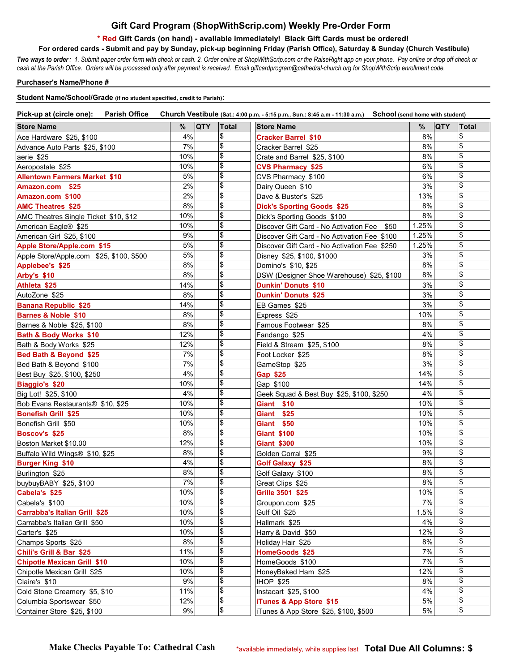## **Gift Card Program (ShopWithScrip.com) Weekly Pre-Order Form**

## **\* Red Gift Cards (on hand) - available immediately! Black Gift Cards must be ordered!**

 **For ordered cards - Submit and pay by Sunday, pick-up beginning Friday (Parish Office), Saturday & Sunday (Church Vestibule)**

*Two ways to order : 1. Submit paper order form with check or cash. 2. Order online at ShopWithScrip.com or the RaiseRight app on your phone. Pay online or drop off check or cash at the Parish Office. Orders will be processed only after payment is received. Email giftcardprogram@cathedral-church.org for ShopWithScrip enrollment code.*

## **Purchaser's Name/Phone #**

## **Student Name/School/Grade (if no student specified, credit to Parish):**

| Pick-up at (circle one): Parish Office                 |     |            |                           | Church Vestibule (Sat.: 4:00 p.m. - 5:15 p.m., Sun.: 8:45 a.m - 11:30 a.m.) School (send home with student) |       |            |                                    |
|--------------------------------------------------------|-----|------------|---------------------------|-------------------------------------------------------------------------------------------------------------|-------|------------|------------------------------------|
| <b>Store Name</b>                                      | %   | <b>QTY</b> | <b>Total</b>              | <b>Store Name</b>                                                                                           | %     | <b>QTY</b> | Total                              |
| Ace Hardware \$25, \$100                               | 4%  |            | \$                        | <b>Cracker Barrel \$10</b>                                                                                  | 8%    |            | \$                                 |
| Advance Auto Parts \$25, \$100                         | 7%  |            | \$                        | Cracker Barrel \$25                                                                                         | 8%    |            | \$                                 |
| aerie \$25                                             | 10% |            | \$                        | Crate and Barrel \$25, \$100                                                                                | 8%    |            | \$                                 |
| Aeropostale \$25                                       | 10% |            | \$                        | <b>CVS Pharmacy \$25</b>                                                                                    | 6%    |            | \$                                 |
| <b>Allentown Farmers Market \$10</b>                   | 5%  |            | $\boldsymbol{\mathsf{S}}$ | CVS Pharmacy \$100                                                                                          | 6%    |            | \$                                 |
| Amazon.com \$25                                        | 2%  |            | \$                        | Dairy Queen \$10                                                                                            | 3%    |            | \$                                 |
| Amazon.com \$100                                       | 2%  |            | $\boldsymbol{\mathsf{S}}$ | Dave & Buster's \$25                                                                                        | 13%   |            | \$                                 |
| <b>AMC Theatres \$25</b>                               | 8%  |            | $\boldsymbol{\mathsf{S}}$ | <b>Dick's Sporting Goods \$25</b>                                                                           | 8%    |            | \$                                 |
| AMC Theatres Single Ticket \$10, \$12                  | 10% |            | $\boldsymbol{\mathsf{S}}$ | Dick's Sporting Goods \$100                                                                                 | 8%    |            | \$                                 |
| American Eagle <sup>®</sup> \$25                       | 10% |            | \$                        | Discover Gift Card - No Activation Fee \$50                                                                 | 1.25% |            | \$                                 |
| American Girl \$25, \$100                              | 9%  |            | \$                        | Discover Gift Card - No Activation Fee \$100                                                                | 1.25% |            | \$                                 |
| Apple Store/Apple.com \$15                             | 5%  |            | \$                        | Discover Gift Card - No Activation Fee \$250                                                                | 1.25% |            | \$                                 |
| Apple Store/Apple.com \$25, \$100, \$500               | 5%  |            | \$                        | Disney \$25, \$100, \$1000                                                                                  | 3%    |            | \$                                 |
| Applebee's \$25                                        | 8%  |            | \$                        | Domino's \$10, \$25                                                                                         | 8%    |            | \$                                 |
| Arby's \$10                                            | 8%  |            | \$                        | DSW (Designer Shoe Warehouse) \$25, \$100                                                                   | 8%    |            | \$                                 |
| Athleta \$25                                           | 14% |            | $\pmb{\$}$                | <b>Dunkin' Donuts \$10</b>                                                                                  | 3%    |            | \$                                 |
| AutoZone \$25                                          | 8%  |            | \$                        | <b>Dunkin' Donuts \$25</b>                                                                                  | 3%    |            | \$                                 |
| <b>Banana Republic \$25</b>                            | 14% |            | \$                        | EB Games \$25                                                                                               | 3%    |            | \$                                 |
| <b>Barnes &amp; Noble \$10</b>                         | 8%  |            | \$                        | Express \$25                                                                                                | 10%   |            | \$                                 |
| Barnes & Noble \$25, \$100                             | 8%  |            | \$                        | Famous Footwear \$25                                                                                        | 8%    |            | \$                                 |
| Bath & Body Works \$10                                 | 12% |            | \$                        | Fandango \$25                                                                                               | 4%    |            | \$                                 |
| Bath & Body Works \$25                                 | 12% |            | \$                        | Field & Stream \$25, \$100                                                                                  | 8%    |            | \$                                 |
|                                                        | 7%  |            | \$                        | Foot Locker \$25                                                                                            | 8%    |            | \$                                 |
| Bed Bath & Beyond \$25                                 | 7%  |            | \$                        |                                                                                                             | 3%    |            | \$                                 |
| Bed Bath & Beyond \$100<br>Best Buy \$25, \$100, \$250 | 4%  |            | $\boldsymbol{\mathsf{S}}$ | GameStop \$25<br>Gap \$25                                                                                   | 14%   |            | \$                                 |
| <b>Biaggio's \$20</b>                                  | 10% |            | $\boldsymbol{\mathsf{S}}$ | Gap \$100                                                                                                   | 14%   |            | $\frac{1}{2}$                      |
| Big Lot! \$25, \$100                                   | 4%  |            | \$                        | Geek Squad & Best Buy \$25, \$100, \$250                                                                    | 4%    |            | \$                                 |
| Bob Evans Restaurants <sup>®</sup> \$10, \$25          | 10% |            | $\pmb{\$}$                | Giant \$10                                                                                                  | 10%   |            | \$                                 |
| <b>Bonefish Grill \$25</b>                             | 10% |            | \$                        | Giant \$25                                                                                                  | 10%   |            | \$                                 |
|                                                        | 10% |            | \$                        | Giant \$50                                                                                                  | 10%   |            | \$                                 |
| Bonefish Grill \$50                                    | 8%  |            | \$                        |                                                                                                             | 10%   |            | \$                                 |
| <b>Boscov's \$25</b>                                   | 12% |            | \$                        | <b>Giant \$100</b>                                                                                          | 10%   |            | \$                                 |
| Boston Market \$10.00                                  | 8%  |            | \$                        | <b>Giant \$300</b>                                                                                          | 9%    |            | \$                                 |
| Buffalo Wild Wings® \$10, \$25                         | 4%  |            | \$                        | Golden Corral \$25                                                                                          | 8%    |            | $\boldsymbol{\mathsf{S}}$          |
| <b>Burger King \$10</b>                                | 8%  |            | \$                        | <b>Golf Galaxy \$25</b>                                                                                     | 8%    |            | \$                                 |
| Burlington \$25                                        | 7%  |            | \$                        | Golf Galaxy \$100                                                                                           | 8%    |            | \$                                 |
| buybuyBABY \$25, \$100                                 |     |            |                           | Great Clips \$25                                                                                            |       |            |                                    |
| Cabela's \$25                                          | 10% |            | \$<br>\$                  | Grille 3501 \$25                                                                                            | 10%   |            | \$<br>\$                           |
| Cabela's \$100                                         | 10% |            | \$                        | Groupon.com \$25                                                                                            | 7%    |            | \$                                 |
| <b>Carrabba's Italian Grill \$25</b>                   | 10% |            | \$                        | Gulf Oil \$25                                                                                               | 1.5%  |            | $\overline{\boldsymbol{\epsilon}}$ |
| Carrabba's Italian Grill \$50                          | 10% |            | \$                        | Hallmark \$25                                                                                               | 4%    |            | \$                                 |
| Carter's \$25                                          | 10% |            | $\pmb{\$}$                | Harry & David \$50                                                                                          | 12%   |            | \$                                 |
| Champs Sports \$25                                     | 8%  |            | $\, \, \$$                | Holiday Hair \$25                                                                                           | 8%    |            | \$                                 |
| Chili's Grill & Bar \$25                               | 11% |            |                           | HomeGoods \$25                                                                                              | 7%    |            |                                    |
| <b>Chipotle Mexican Grill \$10</b>                     | 10% |            | \$                        | HomeGoods \$100                                                                                             | 7%    |            | \$                                 |
| Chipotle Mexican Grill \$25                            | 10% |            | \$                        | HoneyBaked Ham \$25                                                                                         | 12%   |            | \$                                 |
| Claire's \$10                                          | 9%  |            | \$                        | <b>IHOP \$25</b>                                                                                            | 8%    |            | \$                                 |
| Cold Stone Creamery \$5, \$10                          | 11% |            | \$                        | Instacart \$25, \$100                                                                                       | 4%    |            | \$                                 |
| Columbia Sportswear \$50                               | 12% |            | \$                        | iTunes & App Store \$15                                                                                     | 5%    |            | \$                                 |
| Container Store \$25, \$100                            | 9%  |            | $\, \, \$$                | iTunes & App Store \$25, \$100, \$500                                                                       | 5%    |            | \$                                 |